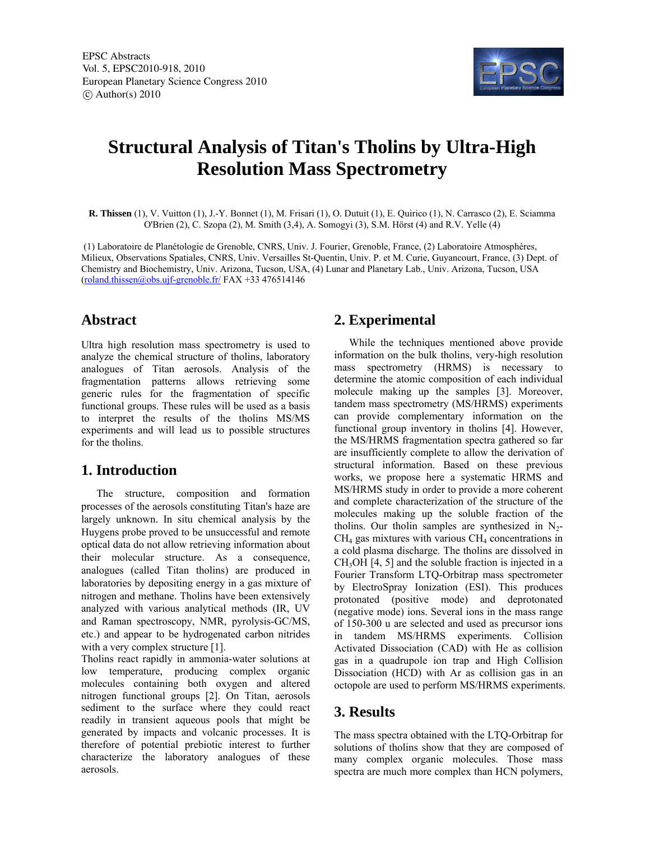

# **Structural Analysis of Titan's Tholins by Ultra-High Resolution Mass Spectrometry**

**R. Thissen** (1), V. Vuitton (1), J.-Y. Bonnet (1), M. Frisari (1), O. Dutuit (1), E. Quirico (1), N. Carrasco (2), E. Sciamma O'Brien (2), C. Szopa (2), M. Smith (3,4), A. Somogyi (3), S.M. Hörst (4) and R.V. Yelle (4)

 (1) Laboratoire de Planétologie de Grenoble, CNRS, Univ. J. Fourier, Grenoble, France, (2) Laboratoire Atmosphères, Milieux, Observations Spatiales, CNRS, Univ. Versailles St-Quentin, Univ. P. et M. Curie, Guyancourt, France, (3) Dept. of Chemistry and Biochemistry, Univ. Arizona, Tucson, USA, (4) Lunar and Planetary Lab., Univ. Arizona, Tucson, USA  $(roland. this sen@obs. uif-grenoble.fr/  $FAX +33\,476514146$$ 

## **Abstract**

Ultra high resolution mass spectrometry is used to analyze the chemical structure of tholins, laboratory analogues of Titan aerosols. Analysis of the fragmentation patterns allows retrieving some generic rules for the fragmentation of specific functional groups. These rules will be used as a basis to interpret the results of the tholins MS/MS experiments and will lead us to possible structures for the tholins.

## **1. Introduction**

The structure, composition and formation processes of the aerosols constituting Titan's haze are largely unknown. In situ chemical analysis by the Huygens probe proved to be unsuccessful and remote optical data do not allow retrieving information about their molecular structure. As a consequence, analogues (called Titan tholins) are produced in laboratories by depositing energy in a gas mixture of nitrogen and methane. Tholins have been extensively analyzed with various analytical methods (IR, UV and Raman spectroscopy, NMR, pyrolysis-GC/MS, etc.) and appear to be hydrogenated carbon nitrides with a very complex structure [1].

Tholins react rapidly in ammonia-water solutions at low temperature, producing complex organic molecules containing both oxygen and altered nitrogen functional groups [2]. On Titan, aerosols sediment to the surface where they could react readily in transient aqueous pools that might be generated by impacts and volcanic processes. It is therefore of potential prebiotic interest to further characterize the laboratory analogues of these aerosols.

# **2. Experimental**

While the techniques mentioned above provide information on the bulk tholins, very-high resolution mass spectrometry (HRMS) is necessary to determine the atomic composition of each individual molecule making up the samples [3]. Moreover, tandem mass spectrometry (MS/HRMS) experiments can provide complementary information on the functional group inventory in tholins [4]. However, the MS/HRMS fragmentation spectra gathered so far are insufficiently complete to allow the derivation of structural information. Based on these previous works, we propose here a systematic HRMS and MS/HRMS study in order to provide a more coherent and complete characterization of the structure of the molecules making up the soluble fraction of the tholins. Our tholin samples are synthesized in  $N_2$ - $CH<sub>4</sub>$  gas mixtures with various  $CH<sub>4</sub>$  concentrations in a cold plasma discharge. The tholins are dissolved in  $CH<sub>3</sub>OH$  [4, 5] and the soluble fraction is injected in a Fourier Transform LTQ-Orbitrap mass spectrometer by ElectroSpray Ionization (ESI). This produces protonated (positive mode) and deprotonated (negative mode) ions. Several ions in the mass range of 150-300 u are selected and used as precursor ions in tandem MS/HRMS experiments. Collision Activated Dissociation (CAD) with He as collision gas in a quadrupole ion trap and High Collision Dissociation (HCD) with Ar as collision gas in an octopole are used to perform MS/HRMS experiments.

## **3. Results**

The mass spectra obtained with the LTQ-Orbitrap for solutions of tholins show that they are composed of many complex organic molecules. Those mass spectra are much more complex than HCN polymers,